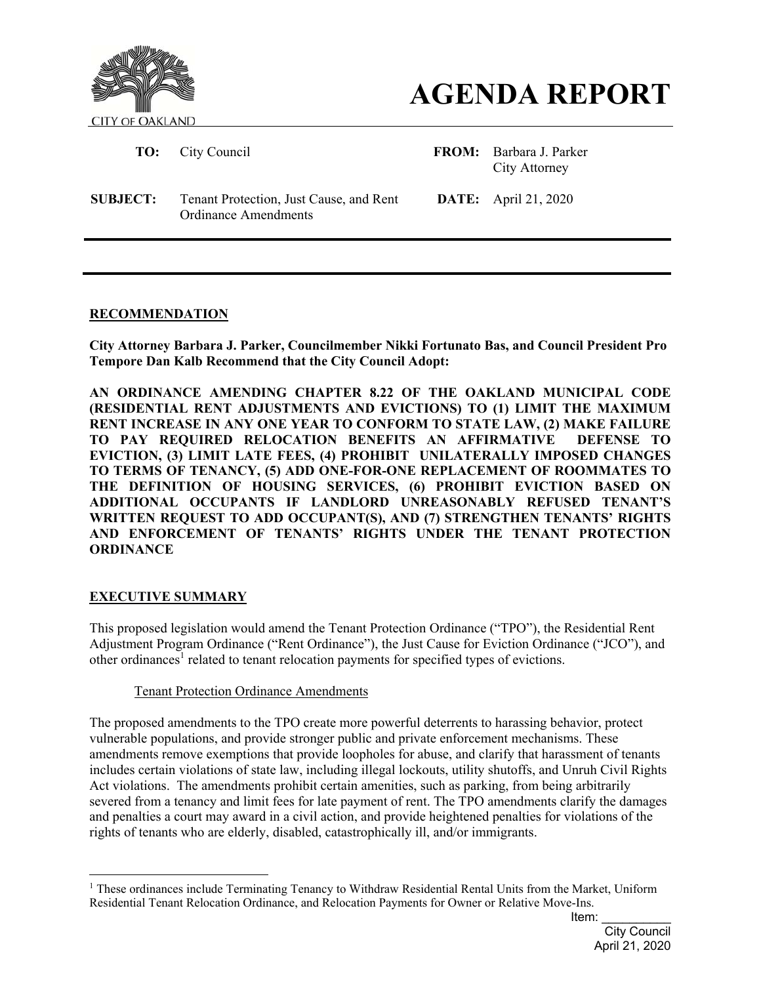



 **TO:** City Council **FROM:** Barbara J. Parker City Attorney

**SUBJECT:** Tenant Protection, Just Cause, and Rent Ordinance Amendments

**DATE:** April 21, 2020

# **RECOMMENDATION**

**City Attorney Barbara J. Parker, Councilmember Nikki Fortunato Bas, and Council President Pro Tempore Dan Kalb Recommend that the City Council Adopt:** 

**AN ORDINANCE AMENDING CHAPTER 8.22 OF THE OAKLAND MUNICIPAL CODE (RESIDENTIAL RENT ADJUSTMENTS AND EVICTIONS) TO (1) LIMIT THE MAXIMUM RENT INCREASE IN ANY ONE YEAR TO CONFORM TO STATE LAW, (2) MAKE FAILURE TO PAY REQUIRED RELOCATION BENEFITS AN AFFIRMATIVE DEFENSE TO EVICTION, (3) LIMIT LATE FEES, (4) PROHIBIT UNILATERALLY IMPOSED CHANGES TO TERMS OF TENANCY, (5) ADD ONE-FOR-ONE REPLACEMENT OF ROOMMATES TO THE DEFINITION OF HOUSING SERVICES, (6) PROHIBIT EVICTION BASED ON ADDITIONAL OCCUPANTS IF LANDLORD UNREASONABLY REFUSED TENANT'S WRITTEN REQUEST TO ADD OCCUPANT(S), AND (7) STRENGTHEN TENANTS' RIGHTS AND ENFORCEMENT OF TENANTS' RIGHTS UNDER THE TENANT PROTECTION ORDINANCE** 

### **EXECUTIVE SUMMARY**

 $\overline{a}$ 

This proposed legislation would amend the Tenant Protection Ordinance ("TPO"), the Residential Rent Adjustment Program Ordinance ("Rent Ordinance"), the Just Cause for Eviction Ordinance ("JCO"), and other ordinances<sup>1</sup> related to tenant relocation payments for specified types of evictions.

## Tenant Protection Ordinance Amendments

The proposed amendments to the TPO create more powerful deterrents to harassing behavior, protect vulnerable populations, and provide stronger public and private enforcement mechanisms. These amendments remove exemptions that provide loopholes for abuse, and clarify that harassment of tenants includes certain violations of state law, including illegal lockouts, utility shutoffs, and Unruh Civil Rights Act violations. The amendments prohibit certain amenities, such as parking, from being arbitrarily severed from a tenancy and limit fees for late payment of rent. The TPO amendments clarify the damages and penalties a court may award in a civil action, and provide heightened penalties for violations of the rights of tenants who are elderly, disabled, catastrophically ill, and/or immigrants.

<sup>&</sup>lt;sup>1</sup> These ordinances include Terminating Tenancy to Withdraw Residential Rental Units from the Market, Uniform Residential Tenant Relocation Ordinance, and Relocation Payments for Owner or Relative Move-Ins.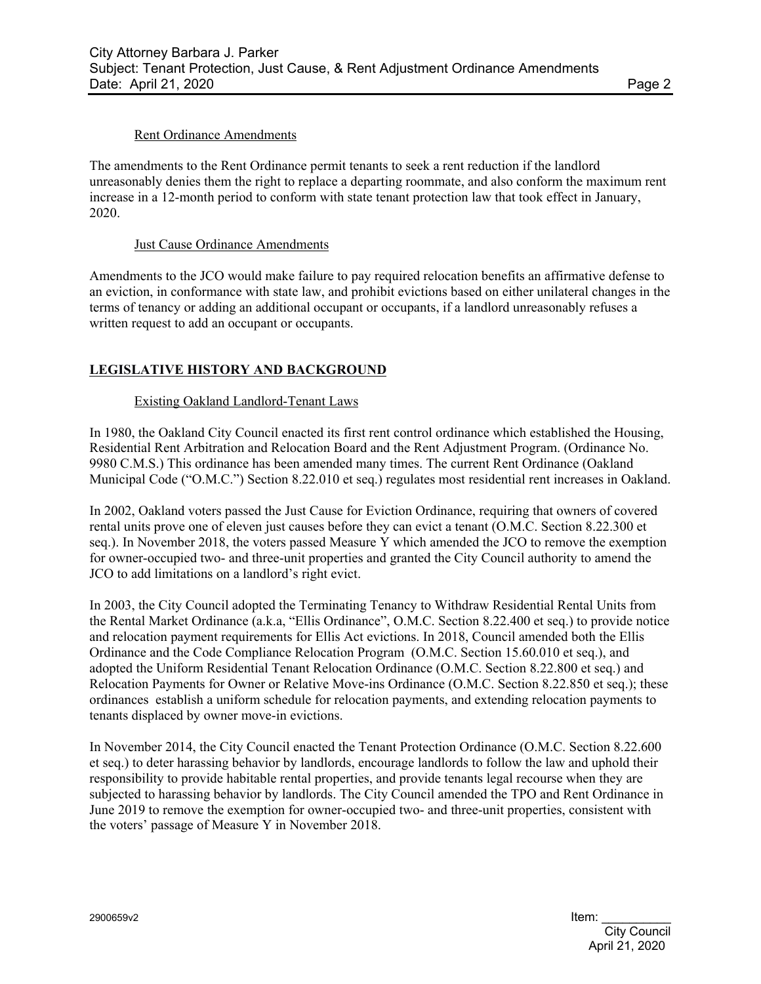#### Rent Ordinance Amendments

The amendments to the Rent Ordinance permit tenants to seek a rent reduction if the landlord unreasonably denies them the right to replace a departing roommate, and also conform the maximum rent increase in a 12-month period to conform with state tenant protection law that took effect in January, 2020.

#### Just Cause Ordinance Amendments

Amendments to the JCO would make failure to pay required relocation benefits an affirmative defense to an eviction, in conformance with state law, and prohibit evictions based on either unilateral changes in the terms of tenancy or adding an additional occupant or occupants, if a landlord unreasonably refuses a written request to add an occupant or occupants.

# **LEGISLATIVE HISTORY AND BACKGROUND**

#### Existing Oakland Landlord-Tenant Laws

In 1980, the Oakland City Council enacted its first rent control ordinance which established the Housing, Residential Rent Arbitration and Relocation Board and the Rent Adjustment Program. (Ordinance No. 9980 C.M.S.) This ordinance has been amended many times. The current Rent Ordinance (Oakland Municipal Code ("O.M.C.") Section 8.22.010 et seq.) regulates most residential rent increases in Oakland.

In 2002, Oakland voters passed the Just Cause for Eviction Ordinance, requiring that owners of covered rental units prove one of eleven just causes before they can evict a tenant (O.M.C. Section 8.22.300 et seq.). In November 2018, the voters passed Measure Y which amended the JCO to remove the exemption for owner-occupied two- and three-unit properties and granted the City Council authority to amend the JCO to add limitations on a landlord's right evict.

In 2003, the City Council adopted the Terminating Tenancy to Withdraw Residential Rental Units from the Rental Market Ordinance (a.k.a, "Ellis Ordinance", O.M.C. Section 8.22.400 et seq.) to provide notice and relocation payment requirements for Ellis Act evictions. In 2018, Council amended both the Ellis Ordinance and the Code Compliance Relocation Program (O.M.C. Section 15.60.010 et seq.), and adopted the Uniform Residential Tenant Relocation Ordinance (O.M.C. Section 8.22.800 et seq.) and Relocation Payments for Owner or Relative Move-ins Ordinance (O.M.C. Section 8.22.850 et seq.); these ordinances establish a uniform schedule for relocation payments, and extending relocation payments to tenants displaced by owner move-in evictions.

In November 2014, the City Council enacted the Tenant Protection Ordinance (O.M.C. Section 8.22.600 et seq.) to deter harassing behavior by landlords, encourage landlords to follow the law and uphold their responsibility to provide habitable rental properties, and provide tenants legal recourse when they are subjected to harassing behavior by landlords. The City Council amended the TPO and Rent Ordinance in June 2019 to remove the exemption for owner-occupied two- and three-unit properties, consistent with the voters' passage of Measure Y in November 2018.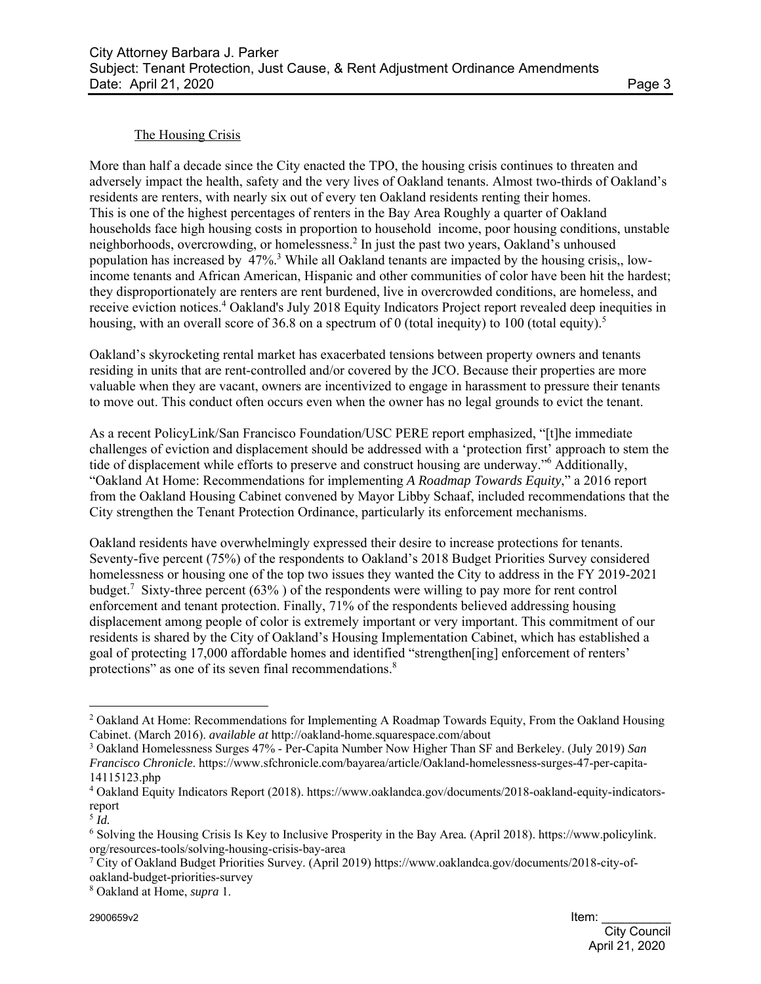## The Housing Crisis

More than half a decade since the City enacted the TPO, the housing crisis continues to threaten and adversely impact the health, safety and the very lives of Oakland tenants. Almost two-thirds of Oakland's residents are renters, with nearly six out of every ten Oakland residents renting their homes. This is one of the highest percentages of renters in the Bay Area Roughly a quarter of Oakland households face high housing costs in proportion to household income, poor housing conditions, unstable neighborhoods, overcrowding, or homelessness.<sup>2</sup> In just the past two years, Oakland's unhoused population has increased by 47%.<sup>3</sup> While all Oakland tenants are impacted by the housing crisis,, lowincome tenants and African American, Hispanic and other communities of color have been hit the hardest; they disproportionately are renters are rent burdened, live in overcrowded conditions, are homeless, and receive eviction notices.<sup>4</sup> Oakland's July 2018 Equity Indicators Project report revealed deep inequities in housing, with an overall score of 36.8 on a spectrum of 0 (total inequity) to 100 (total equity).<sup>5</sup>

Oakland's skyrocketing rental market has exacerbated tensions between property owners and tenants residing in units that are rent-controlled and/or covered by the JCO. Because their properties are more valuable when they are vacant, owners are incentivized to engage in harassment to pressure their tenants to move out. This conduct often occurs even when the owner has no legal grounds to evict the tenant.

As a recent PolicyLink/San Francisco Foundation/USC PERE report emphasized, "[t]he immediate challenges of eviction and displacement should be addressed with a 'protection first' approach to stem the tide of displacement while efforts to preserve and construct housing are underway."6 Additionally, "Oakland At Home: Recommendations for implementing *A Roadmap Towards Equity*," a 2016 report from the Oakland Housing Cabinet convened by Mayor Libby Schaaf, included recommendations that the City strengthen the Tenant Protection Ordinance, particularly its enforcement mechanisms.

Oakland residents have overwhelmingly expressed their desire to increase protections for tenants. Seventy-five percent (75%) of the respondents to Oakland's 2018 Budget Priorities Survey considered homelessness or housing one of the top two issues they wanted the City to address in the FY 2019-2021 budget.<sup>7</sup> Sixty-three percent (63%) of the respondents were willing to pay more for rent control enforcement and tenant protection. Finally, 71% of the respondents believed addressing housing displacement among people of color is extremely important or very important. This commitment of our residents is shared by the City of Oakland's Housing Implementation Cabinet, which has established a goal of protecting 17,000 affordable homes and identified "strengthen[ing] enforcement of renters' protections" as one of its seven final recommendations.<sup>8</sup>

 $\overline{a}$ 

8 Oakland at Home, *supra* 1.

<sup>&</sup>lt;sup>2</sup> Oakland At Home: Recommendations for Implementing A Roadmap Towards Equity, From the Oakland Housing Cabinet. (March 2016). *available at* http://oakland-home.squarespace.com/about

<sup>3</sup> Oakland Homelessness Surges 47% - Per-Capita Number Now Higher Than SF and Berkeley. (July 2019) *San Francisco Chronicle*. https://www.sfchronicle.com/bayarea/article/Oakland-homelessness-surges-47-per-capita-14115123.php

<sup>4</sup> Oakland Equity Indicators Report (2018). https://www.oaklandca.gov/documents/2018-oakland-equity-indicatorsreport

 $\frac{5}{1}$ 

<sup>6</sup> Solving the Housing Crisis Is Key to Inclusive Prosperity in the Bay Area*.* (April 2018). https://www.policylink. org/resources-tools/solving-housing-crisis-bay-area

<sup>&</sup>lt;sup>7</sup> City of Oakland Budget Priorities Survey. (April 2019) https://www.oaklandca.gov/documents/2018-city-ofoakland-budget-priorities-survey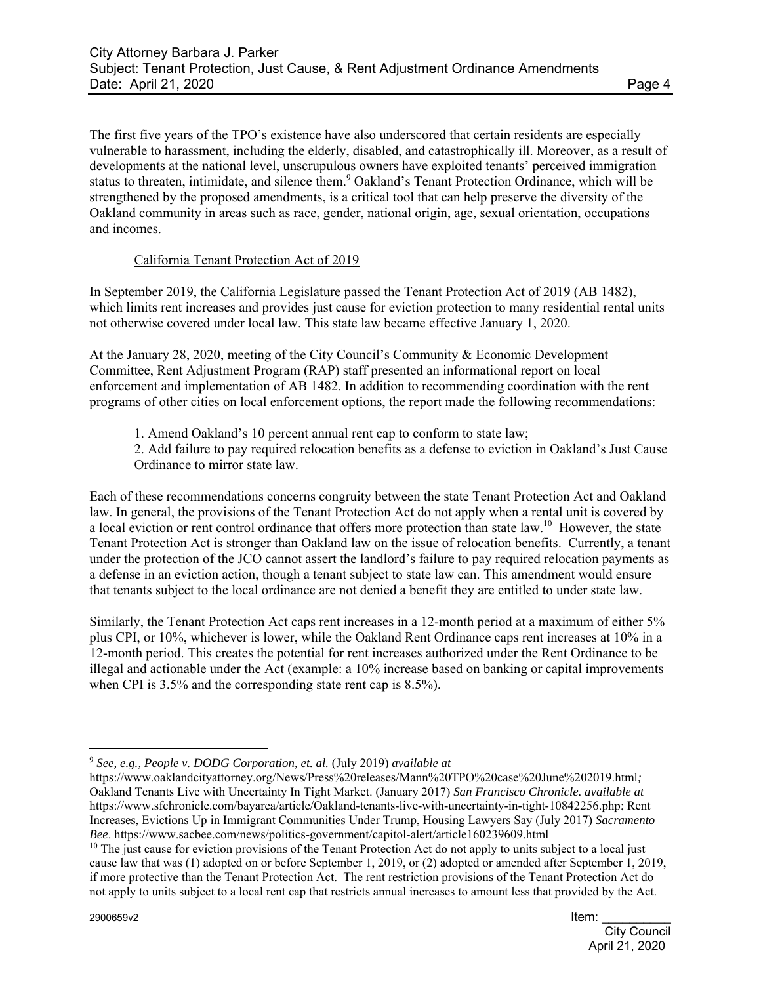The first five years of the TPO's existence have also underscored that certain residents are especially vulnerable to harassment, including the elderly, disabled, and catastrophically ill. Moreover, as a result of developments at the national level, unscrupulous owners have exploited tenants' perceived immigration status to threaten, intimidate, and silence them.<sup>9</sup> Oakland's Tenant Protection Ordinance, which will be strengthened by the proposed amendments, is a critical tool that can help preserve the diversity of the Oakland community in areas such as race, gender, national origin, age, sexual orientation, occupations and incomes.

# California Tenant Protection Act of 2019

In September 2019, the California Legislature passed the Tenant Protection Act of 2019 (AB 1482), which limits rent increases and provides just cause for eviction protection to many residential rental units not otherwise covered under local law. This state law became effective January 1, 2020.

At the January 28, 2020, meeting of the City Council's Community & Economic Development Committee, Rent Adjustment Program (RAP) staff presented an informational report on local enforcement and implementation of AB 1482. In addition to recommending coordination with the rent programs of other cities on local enforcement options, the report made the following recommendations:

- 1. Amend Oakland's 10 percent annual rent cap to conform to state law;
- 2. Add failure to pay required relocation benefits as a defense to eviction in Oakland's Just Cause Ordinance to mirror state law.

Each of these recommendations concerns congruity between the state Tenant Protection Act and Oakland law. In general, the provisions of the Tenant Protection Act do not apply when a rental unit is covered by a local eviction or rent control ordinance that offers more protection than state law.<sup>10</sup> However, the state Tenant Protection Act is stronger than Oakland law on the issue of relocation benefits. Currently, a tenant under the protection of the JCO cannot assert the landlord's failure to pay required relocation payments as a defense in an eviction action, though a tenant subject to state law can. This amendment would ensure that tenants subject to the local ordinance are not denied a benefit they are entitled to under state law.

Similarly, the Tenant Protection Act caps rent increases in a 12-month period at a maximum of either 5% plus CPI, or 10%, whichever is lower, while the Oakland Rent Ordinance caps rent increases at 10% in a 12-month period. This creates the potential for rent increases authorized under the Rent Ordinance to be illegal and actionable under the Act (example: a 10% increase based on banking or capital improvements when CPI is 3.5% and the corresponding state rent cap is 8.5%).

 $\overline{a}$ <sup>9</sup> *See, e.g., People v. DODG Corporation, et. al.* (July 2019) *available at* 

https://www.oaklandcityattorney.org/News/Press%20releases/Mann%20TPO%20case%20June%202019.html*;*  Oakland Tenants Live with Uncertainty In Tight Market. (January 2017) *San Francisco Chronicle. available at*  https://www.sfchronicle.com/bayarea/article/Oakland-tenants-live-with-uncertainty-in-tight-10842256.php; Rent Increases, Evictions Up in Immigrant Communities Under Trump, Housing Lawyers Say (July 2017) *Sacramento Bee*. https://www.sacbee.com/news/politics-government/capitol-alert/article160239609.html

 $10$  The just cause for eviction provisions of the Tenant Protection Act do not apply to units subject to a local just cause law that was (1) adopted on or before September 1, 2019, or (2) adopted or amended after September 1, 2019, if more protective than the Tenant Protection Act. The rent restriction provisions of the Tenant Protection Act do not apply to units subject to a local rent cap that restricts annual increases to amount less that provided by the Act.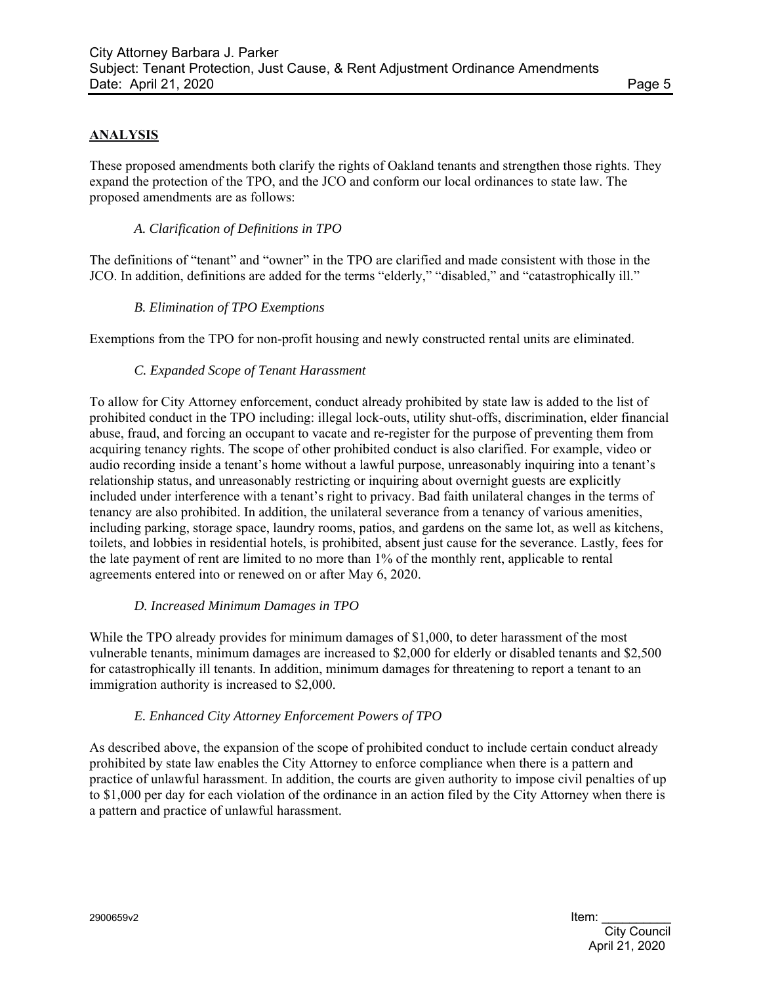# **ANALYSIS**

These proposed amendments both clarify the rights of Oakland tenants and strengthen those rights. They expand the protection of the TPO, and the JCO and conform our local ordinances to state law. The proposed amendments are as follows:

### *A. Clarification of Definitions in TPO*

The definitions of "tenant" and "owner" in the TPO are clarified and made consistent with those in the JCO. In addition, definitions are added for the terms "elderly," "disabled," and "catastrophically ill."

#### *B. Elimination of TPO Exemptions*

Exemptions from the TPO for non-profit housing and newly constructed rental units are eliminated.

#### *C. Expanded Scope of Tenant Harassment*

To allow for City Attorney enforcement, conduct already prohibited by state law is added to the list of prohibited conduct in the TPO including: illegal lock-outs, utility shut-offs, discrimination, elder financial abuse, fraud, and forcing an occupant to vacate and re-register for the purpose of preventing them from acquiring tenancy rights. The scope of other prohibited conduct is also clarified. For example, video or audio recording inside a tenant's home without a lawful purpose, unreasonably inquiring into a tenant's relationship status, and unreasonably restricting or inquiring about overnight guests are explicitly included under interference with a tenant's right to privacy. Bad faith unilateral changes in the terms of tenancy are also prohibited. In addition, the unilateral severance from a tenancy of various amenities, including parking, storage space, laundry rooms, patios, and gardens on the same lot, as well as kitchens, toilets, and lobbies in residential hotels, is prohibited, absent just cause for the severance. Lastly, fees for the late payment of rent are limited to no more than 1% of the monthly rent, applicable to rental agreements entered into or renewed on or after May 6, 2020.

#### *D. Increased Minimum Damages in TPO*

While the TPO already provides for minimum damages of \$1,000, to deter harassment of the most vulnerable tenants, minimum damages are increased to \$2,000 for elderly or disabled tenants and \$2,500 for catastrophically ill tenants. In addition, minimum damages for threatening to report a tenant to an immigration authority is increased to \$2,000.

### *E. Enhanced City Attorney Enforcement Powers of TPO*

As described above, the expansion of the scope of prohibited conduct to include certain conduct already prohibited by state law enables the City Attorney to enforce compliance when there is a pattern and practice of unlawful harassment. In addition, the courts are given authority to impose civil penalties of up to \$1,000 per day for each violation of the ordinance in an action filed by the City Attorney when there is a pattern and practice of unlawful harassment.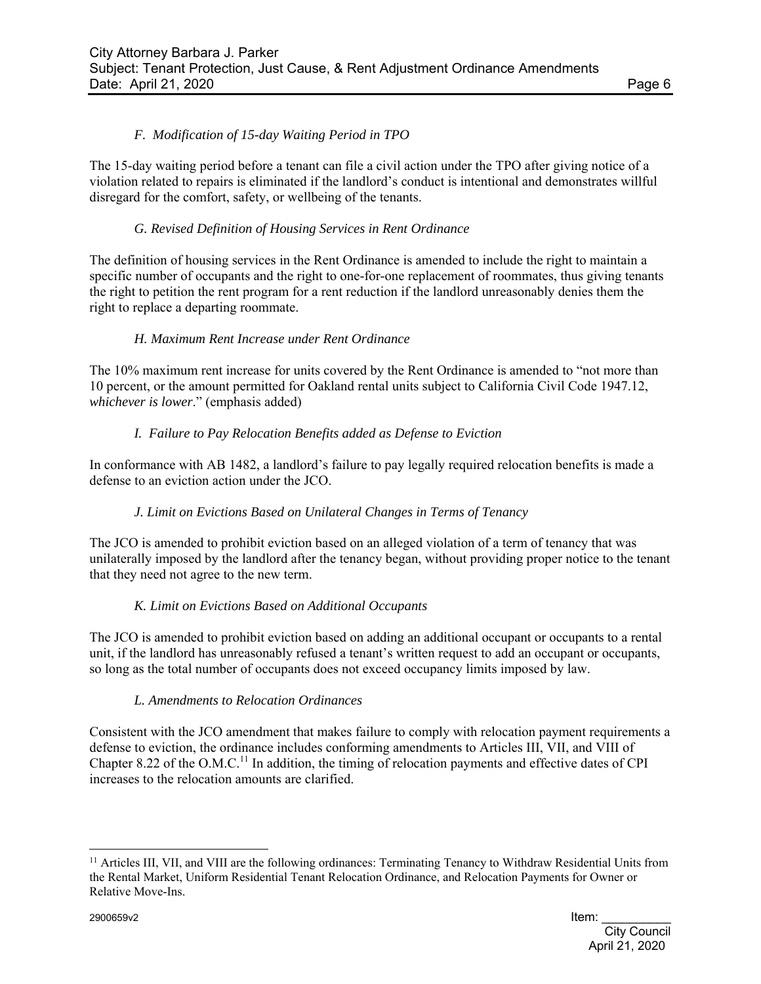# *F. Modification of 15-day Waiting Period in TPO*

The 15-day waiting period before a tenant can file a civil action under the TPO after giving notice of a violation related to repairs is eliminated if the landlord's conduct is intentional and demonstrates willful disregard for the comfort, safety, or wellbeing of the tenants.

## *G. Revised Definition of Housing Services in Rent Ordinance*

The definition of housing services in the Rent Ordinance is amended to include the right to maintain a specific number of occupants and the right to one-for-one replacement of roommates, thus giving tenants the right to petition the rent program for a rent reduction if the landlord unreasonably denies them the right to replace a departing roommate.

# *H. Maximum Rent Increase under Rent Ordinance*

The 10% maximum rent increase for units covered by the Rent Ordinance is amended to "not more than 10 percent, or the amount permitted for Oakland rental units subject to California Civil Code 1947.12, *whichever is lower*." (emphasis added)

# *I. Failure to Pay Relocation Benefits added as Defense to Eviction*

In conformance with AB 1482, a landlord's failure to pay legally required relocation benefits is made a defense to an eviction action under the JCO.

### *J. Limit on Evictions Based on Unilateral Changes in Terms of Tenancy*

The JCO is amended to prohibit eviction based on an alleged violation of a term of tenancy that was unilaterally imposed by the landlord after the tenancy began, without providing proper notice to the tenant that they need not agree to the new term.

### *K. Limit on Evictions Based on Additional Occupants*

The JCO is amended to prohibit eviction based on adding an additional occupant or occupants to a rental unit, if the landlord has unreasonably refused a tenant's written request to add an occupant or occupants, so long as the total number of occupants does not exceed occupancy limits imposed by law.

### *L. Amendments to Relocation Ordinances*

Consistent with the JCO amendment that makes failure to comply with relocation payment requirements a defense to eviction, the ordinance includes conforming amendments to Articles III, VII, and VIII of Chapter 8.22 of the O.M.C.<sup>11</sup> In addition, the timing of relocation payments and effective dates of CPI increases to the relocation amounts are clarified.

 $\overline{a}$ 

<sup>&</sup>lt;sup>11</sup> Articles III, VII, and VIII are the following ordinances: Terminating Tenancy to Withdraw Residential Units from the Rental Market, Uniform Residential Tenant Relocation Ordinance, and Relocation Payments for Owner or Relative Move-Ins.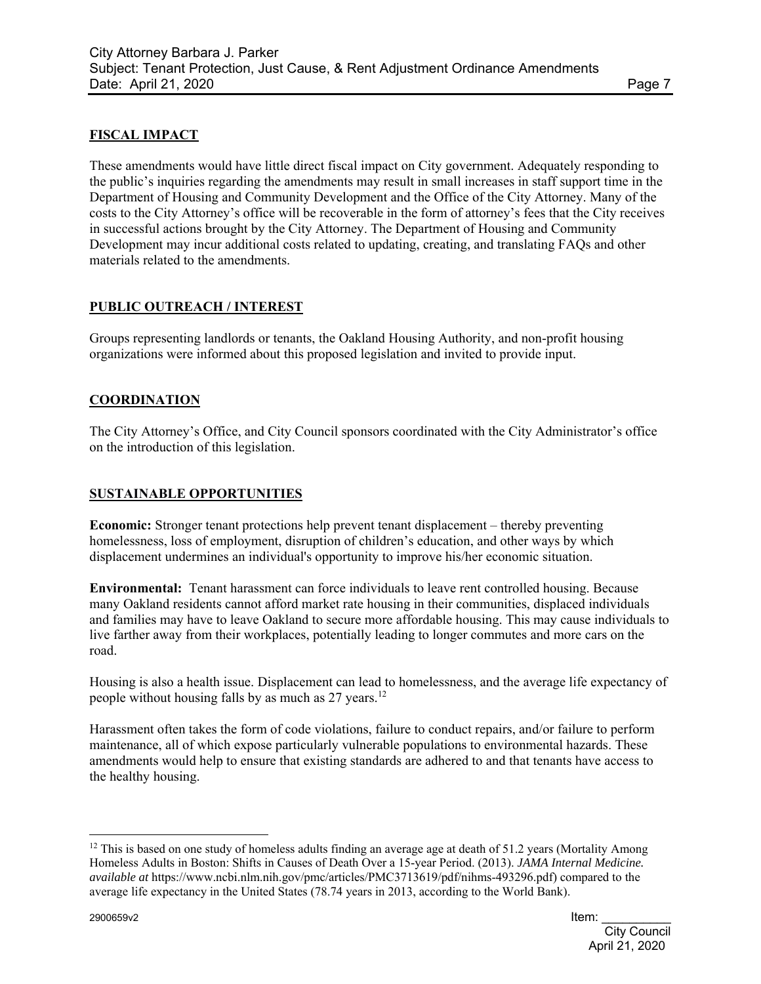# **FISCAL IMPACT**

These amendments would have little direct fiscal impact on City government. Adequately responding to the public's inquiries regarding the amendments may result in small increases in staff support time in the Department of Housing and Community Development and the Office of the City Attorney. Many of the costs to the City Attorney's office will be recoverable in the form of attorney's fees that the City receives in successful actions brought by the City Attorney. The Department of Housing and Community Development may incur additional costs related to updating, creating, and translating FAQs and other materials related to the amendments.

# **PUBLIC OUTREACH / INTEREST**

Groups representing landlords or tenants, the Oakland Housing Authority, and non-profit housing organizations were informed about this proposed legislation and invited to provide input.

# **COORDINATION**

The City Attorney's Office, and City Council sponsors coordinated with the City Administrator's office on the introduction of this legislation.

### **SUSTAINABLE OPPORTUNITIES**

**Economic:** Stronger tenant protections help prevent tenant displacement – thereby preventing homelessness, loss of employment, disruption of children's education, and other ways by which displacement undermines an individual's opportunity to improve his/her economic situation.

**Environmental:** Tenant harassment can force individuals to leave rent controlled housing. Because many Oakland residents cannot afford market rate housing in their communities, displaced individuals and families may have to leave Oakland to secure more affordable housing. This may cause individuals to live farther away from their workplaces, potentially leading to longer commutes and more cars on the road.

Housing is also a health issue. Displacement can lead to homelessness, and the average life expectancy of people without housing falls by as much as  $27$  years.<sup>12</sup>

Harassment often takes the form of code violations, failure to conduct repairs, and/or failure to perform maintenance, all of which expose particularly vulnerable populations to environmental hazards. These amendments would help to ensure that existing standards are adhered to and that tenants have access to the healthy housing.

 $\overline{a}$ 

<sup>&</sup>lt;sup>12</sup> This is based on one study of homeless adults finding an average age at death of 51.2 years (Mortality Among Homeless Adults in Boston: Shifts in Causes of Death Over a 15-year Period. (2013). *JAMA Internal Medicine. available at* https://www.ncbi.nlm.nih.gov/pmc/articles/PMC3713619/pdf/nihms-493296.pdf) compared to the average life expectancy in the United States (78.74 years in 2013, according to the World Bank).